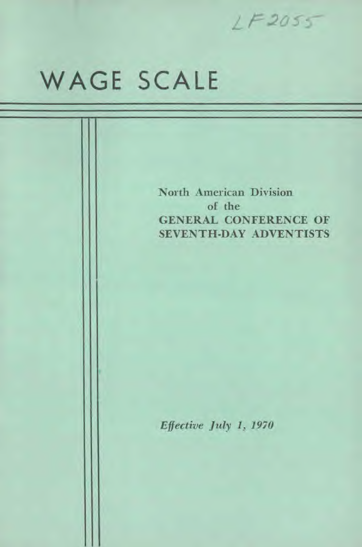

# WAGE SCALE

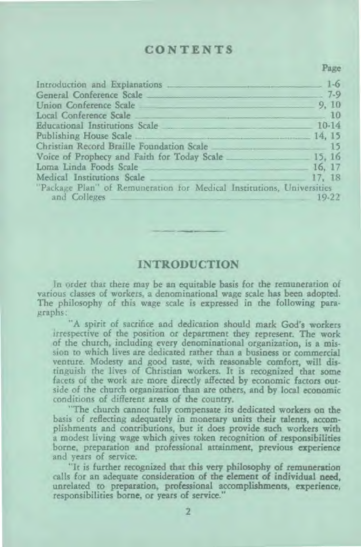## **CONTENTS**

Page

| Introduction and Explanations 2008 and the Explanations 2008                                                   |           |
|----------------------------------------------------------------------------------------------------------------|-----------|
| General Conference Scale 7-9                                                                                   |           |
| Union Conference Scale 9, 10                                                                                   |           |
|                                                                                                                |           |
| Educational Institutions Scale 2008 10-14                                                                      |           |
| Publishing House Scale 14, 15                                                                                  |           |
| Christian Record Braille Foundation Scale 2016 15                                                              |           |
| Voice of Prophecy and Faith for Today Scale 15, 16                                                             |           |
| Loma Linda Foods Scale 16. 17                                                                                  |           |
| Medical Institutions Scale 2008 and 2009 and 2008 and 2008 and 2008 and 2008 and 2008 and 2008 and 2008 and 20 |           |
| "Package Plan" of Remuneration for Medical Institutions, Universities<br>and Colleges                          | $19 - 22$ |

## **INTRODUCTION**

In order that there may be an equitable basis for the remuneration of various classes of workers, a denominational wage scale has been adopted. The philosophy of this wage scale is expressed in the following paragraphs:

"A spirit of sacrifice and dedication should mark God's workers irrespective of the position or department they represent. The work of the church, including every denominational organization, is a mission to which lives are dedicated rather than a business or commercial venture. Modesty and good taste, with reasonable comfort, will distinguish the lives of Christian workers. It is recognized that some facets of the work are more directly affected by economic factors outside of the church organization than are others, and by local economic conditions of different areas of the country.

"The church cannot fully compensate its dedicated workers on the basis of reflecting adequately in monetary units their talents, accomplishments and contributions, but it does provide such workers with a modest living wage which gives token recognition of responsibilities borne, preparation and professional attainment, previous experience and years of service.

"It is further recognized that this very philosophy of remuneration calls for an adequate consideration of the element of individual **need,**  unrelated to preparation, professional accomplishments, experience, responsibilities borne, or years of service."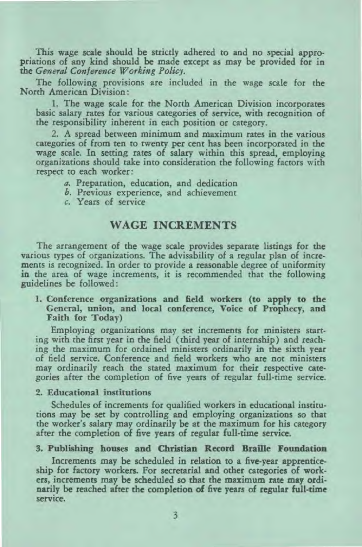This wage scale should be strictly adhered to and no special appropriations of any kind should be made except as may be provided for in the *General Conference Working Policy.* 

The following provisions are included in the wage scale for the North American Division:

1. The wage scale for the North American Division incorporates basic salary rates for various categories of service, with recognition of the responsibility inherent in each position or category.

2. A spread between minimum and maximum rates in the various categories of from ten to twenty per cent has been incorporated in the wage scale. In setting rates of salary within this spread, employing organizations should take into consideration the following factors with respect to each worker:

- a. Preparation, education, and dedication
- b. Previous experience, and achievement
- c. Years of service

## WAGE INCREMENTS

The arrangement of the wage scale provides separate listings for the various types of organizations. The advisability of a regular plan of increments is recognized. In order to provide a reasonable *degree* of uniformity in the area of wage increments, it is recommended that the following guidelines be followed:

1. Conference organizations and field workers (to apply to the General, union, and local conference, Voice of Prophecy, and Faith for Today)

Employing organizations may set increments for ministers starting with the first year in the field (third year of internship) and reaching the maximum for ordained ministers ordinarily in the sixth year of field service. Conference and field workers who are not ministers may ordinarily reach the stated maximum for their respective categories after the completion of five years of regular full-time service.

#### 2. Educational institutions

Schedules of increments for qualified workers in educational institutions may be set by controlling and employing organizations so that the worker's salary may ordinarily be at the maximum for his category after the completion of five years of regular full-time service.

#### 3. Publishing houses and Christian Record Braille Foundation

Increments may be scheduled in relation to a five-year apprenticeship for factory workers. For secretarial and other categories of workers, increments may be scheduled so that the maximum rate may ordinarily be reached after the completion of five years of regular full-time service.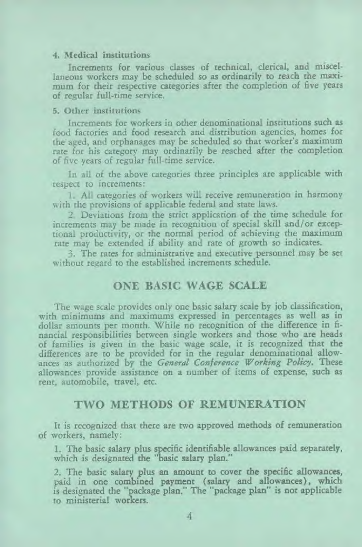#### 4. Medical institutions

Increments for various classes of technical, clerical, and miscellaneous workers may be scheduled so as ordinarily to reach the maximum for their respective categories after the completion of five years of regular full-time service.

#### 5. Other institutions

Increments for workers in other denominational institutions such as food factories and food research and distribution agencies, homes for the aged, and orphanages may be scheduled so that worker's maximum rate for his category may ordinarily be reached after the completion of five years of regular full-time service.

In all of the above categories three principles are applicable with respect to increments:

1. All categories of workers will receive remuneration in harmony with the provisions of applicable federal and state laws.

2. Deviations from the strict application of the time schedule for increments may be made in recognition of special skill and/or exceptional productivity, or the normal period of achieving the maximum rate may be extended if ability and rate of growth so indicates.

3. The rates for administrative and executive personnel may be set without regard to the established increments schedule.

## **ONE BASIC WAGE SCALE**

The wage scale provides only one basic salary scale by job classification, with minimums and maximums expressed in percentages as well as in dollar amounts per month. While no recognition of the difference in financial responsibilities between single workers and those who are heads of families is given in the basic wage scale, it is recognized that the differences are to be provided for in the regular denominational allowances as authorized by the *General Conference Working Policy.* These allowances provide assistance on a number of items of expense, such as rent, automobile, travel, etc.

## **TWO METHODS OF REMUNERATION**

It is recognized that there are two approved methods of remuneration of workers, namely:

1. The basic salary plus specific identifiable allowances paid separately, which is designated the "basic salary plan."

2. The basic salary plus an amount to cover the specific allowances, paid in one combined payment (salary and allowances), which is designated the "package plan." The "package plan" is not applicable to ministerial workers.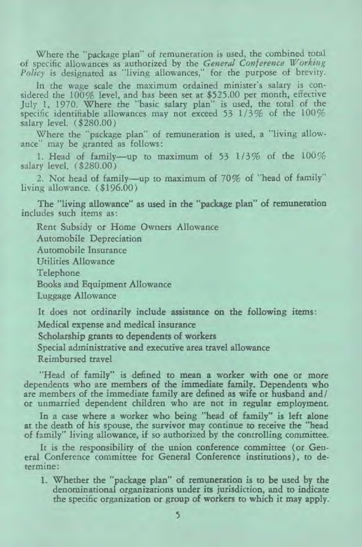Where the "package plan" of remuneration is used, the combined total of specific allowances as authorized by the *General Conference Working Policy* is designated as "living allowances," for the purpose of brevity.

In the wage scale the maximum ordained minister's salary is considered the 100% level, and has been set at \$525.00 per month, effective July 1, 1970. Where the "basic salary plan" is used, the total of the specific identifiable allowances may not exceed 53 1/3% of the 100% salary level. (\$280.00)

Where the "package plan" of remuneration is used, a "living allowance" may be granted as follows:

1. Head of family—up to maximum of 53 1/3% of the 100% salary level. (\$280.00)

2. Not head of family—up to maximum of 70% of "head of family" living allowance. (\$196.00)

The "living allowance" as used in the "package plan" of remuneration includes such items as:

Rent Subsidy or Home Owners Allowance

Automobile Depreciation

Automobile Insurance

Utilities Allowance

Telephone

Books and Equipment Allowance

Luggage Allowance

It does not ordinarily include assistance on the following items: Medical expense and medical insurance

Scholarship grants to dependents of workers

Special administrative and executive area travel allowance

Reimbursed travel

"Head of family" is defined to mean a worker with one or more dependents who are members of the immediate family. Dependents who are members of the immediate family are defined as wife or husband and/ or unmarried dependent children who are not in regular employment.

In a case where a worker who being "head of family" is left alone at the death of his spouse, the survivor may continue to receive the "head of family" living allowance, if so authorized by the controlling committee.

It is the responsibility of the union conference committee (or General Conference committee for General Conference institutions), to determine:

1. Whether the "package plan" of remuneration is to be used by the denominational organizations under its jurisdiction, and to indicate the specific organization or group of workers to which it may apply.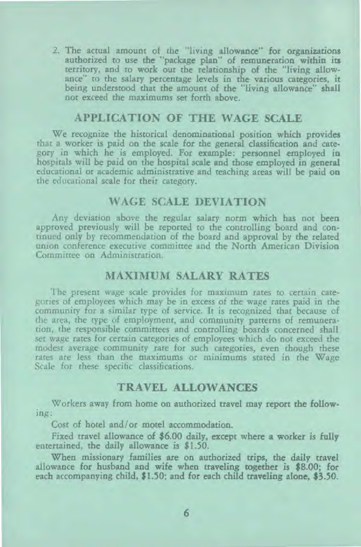2. The actual amount of the "living allowance" for organizations authorized to use the "package plan" of remuneration within its territory, and to work out the relationship of the "living allowance" to the salary percentage levels in the various categories, it being understood that the amount of the "living allowance" shall not exceed the maximums set forth above.

## **APPLICATION OF THE WAGE SCALE**

We recognize the historical denominational position which provides that a worker is paid on the scale for the general classification and category in which he is employed. For example: personnel employed in hospitals will be paid on the hospital scale and those employed in general educational or academic administrative and teaching areas will be paid on the educational scale for their category.

## **WAGE SCALE DEVIATION**

Any deviation above the regular salary norm which has not been approved previously will be reported to the controlling board and continued only by recommendation of the board and approval by the related union conference executive committee and the North American Division Committee on Administration.

## **MAXIMUM SALARY RATES**

The present wage scale provides for maximum rates to certain categories of employees which may be in excess of the wage rates paid in the community for a similar type of service. It is recognized that because of the area, the type of employment, and community patterns of remuneration, the responsible committees and controlling boards concerned shall set wage rates for certain categories of employees which do not exceed the modest average community rate for such categories, even though these rates are less than the maximums or minimums stated in the Wage Scale for these specific classifications.

#### **TRAVEL ALLOWANCES**

Workers away from home on authorized travel may report the following:

Cost of hotel and/or motel accommodation.

Fixed travel allowance of \$6.00 daily, except where a worker is fully entertained, the daily allowance is \$1.50.

When missionary families are on authorized trips, the daily travel allowance for husband and wife when traveling together is \$8.00; for each accompanying child, \$1.50; and for each child traveling alone, \$3.50.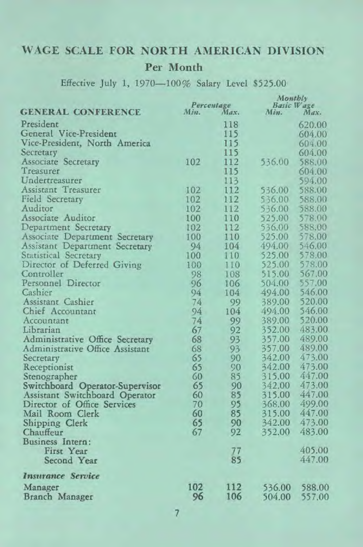# WAGE SCALE FOR NORTH AMERICAN DIVISION Per Month

Effective July 1, 1970-100% Salary Level \$525.00

|                                 | Monthly |                    |                    |                  |
|---------------------------------|---------|--------------------|--------------------|------------------|
| <b>GENERAL CONFERENCE</b>       | Min.    | Percentage<br>Max. | Basic Wage<br>Min. | Max.             |
| President                       |         |                    |                    |                  |
| General Vice-President          |         | 118<br>115         |                    | 620.00           |
| Vice-President, North America   |         | 115                |                    | 604.00<br>604.00 |
| Secretary                       |         | 115                |                    | 604.00           |
| <b>Associate Secretary</b>      | 102     | 112                | 536.00             | 588.00           |
| Treasurer                       |         | 115                |                    | 604.00           |
| Undertreasurer                  |         | 113                |                    | 594.00           |
| Assistant Treasurer             | 102     | 112                | 536.00             | 588.00           |
| <b>Field Secretary</b>          | 102     | 112                | 536.00             | 588.00           |
| Auditor                         | 102     | 112                | 536.00             | 588.00           |
| Associate Auditor               | 100     | 110                | 525.00             | 578.00           |
| Department Secretary            | 102     | 112                | 536.00             | 588.00           |
| Associate Department Secretary  | 100     | 110                | 525.00             | 578.00           |
| Assistant Department Secretary  | 94      | 104                | 494.00             | 546.00           |
| Statistical Secretary           | 100     | 110                | 525.00             | 578.00           |
| Director of Deferred Giving     | 100     | 110                | 525.00             | 578.00           |
| Controller                      | 98      | 108                | 515.00             | 567.00           |
| Personnel Director              | 96      | 106                | 504.00             | 557.00           |
| Cashier                         | 94      | 104                | 494.00             | 546.00           |
| Assistant Cashier               | 74      | 99                 | 389.00             | 520.00           |
| Chief Accountant                | 94      | 104                | 494.00             | 546.00           |
| Accountant                      | 74      | 99                 | 389.00             | 520.00           |
| Librarian                       | 67      | 92                 | 352.00             | 483.00           |
| Administrative Office Secretary | 68      | 93                 | 357.00             | 489.00           |
| Administrative Office Assistant | 68      | 93                 | 357.00             | 489.00           |
| Secretary                       | 65      | 90                 | 342.00             | 473.00           |
| Receptionist                    | 65      | 90                 | 342.00             | 473.00           |
| Stenographer                    | 60      | 85                 | 315.00             | 447.00           |
| Switchboard Operator-Supervisor | 65      | 90                 | 342.00             | 473.00           |
| Assistant Switchboard Operator  | 60      | 85                 | 315.00             | 447.00           |
| Director of Office Services     | 70      | 95                 | 368.00             | 499.00           |
| Mail Room Clerk                 | 60      | 85                 | 315.00             | 447.00           |
| Shipping Clerk                  | 65      | 90                 | 342.00             | 473.00           |
| Chauffeur                       | 67      | 92                 | 352.00             | 483.00           |
| Business Intern:                |         |                    |                    |                  |
| First Year                      |         | 77                 |                    | 405.00           |
| Second Year                     |         | 85                 |                    | 447.00           |
| <b>Insurance Service</b>        |         |                    |                    |                  |
| Manager                         | 102     | 112                | 536.00             | 588.00           |
| Branch Manager                  | 96      | 106                | 504.00             | 557.00           |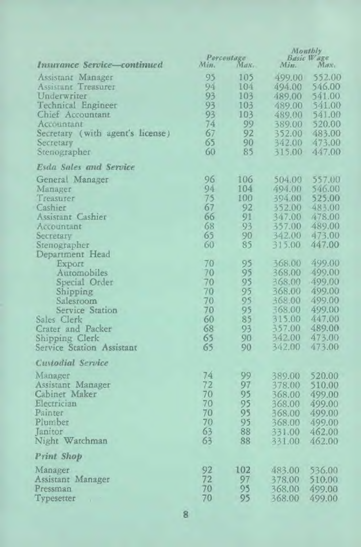|                                                 | Percentage |          | Montbly<br>Basic Wage |                  |
|-------------------------------------------------|------------|----------|-----------------------|------------------|
| Insurance Service-continued                     | Min.       | $M_{dN}$ | Min.                  | Max <sub>1</sub> |
|                                                 | 95         | 105      | 499.00                | 552.00           |
| Assistant Manager<br><b>Assistant Treasurer</b> | 94         | 104      | 494.00                | 546.00           |
| Underwriter                                     | 93         | 103      | 489.00                | 541.00           |
| Technical Engineer                              | 93         | 103      |                       | 541.00           |
| Chief Accountant                                | 93         | 103      | 489.00                |                  |
|                                                 | 74.        | 99       | 489.00                | 541.00           |
| Accountant                                      | 67         | 92       | 389.00                | 520.00           |
| Secretary (with agent's license)                | 65         | 90       | 352.00                | 483.00           |
| Secretary                                       |            | 85       | 342.00                | 473.00           |
| Stenographer                                    | 60         |          | 315.00                | 447.00           |
| <b>Esda Sales and Service</b>                   |            |          |                       |                  |
| General Manager                                 | 96         | 106      | 504.00                | 557.00           |
| Manager                                         | 94         | 104      | 494.00                | 546.00           |
| Treasurer                                       | 75         | 100      | 394.00                | 525.00           |
| Cashier                                         | 67         | 92       | 352.00                | 483.00           |
| Assistant Cashier                               | 66         | 91       | 347.00                | 478.00           |
| Accountant                                      | 68         | 93       | 357.00                | 489.00           |
| Secretary                                       | 65         | 90       |                       | 342.00 473.00    |
| Stenographer                                    | 60         | 85       | 315.00                | 447.00           |
| Department Head                                 |            |          |                       |                  |
| Export                                          | 70         | 95       | 368.00                | 499.00           |
| Automobiles                                     | 70         | 95       | 368.00                | 499.00           |
| Special Order                                   | 70         | 95       | 368.00                | 499.00           |
| Shipping                                        | 70         | 95       | 368.00                | 499.00           |
| Salesroom                                       | 70         | 95       | 368.00                | 499.00           |
| Service Station                                 | 70         | 95       | 368,00                | 499.00           |
| Sales Clerk                                     | 60         | 85       | 315.00                | 447.00           |
| Crater and Packer                               | 68         | 93       | 357.00                | 489.00           |
| Shipping Clerk                                  | 65         | 90       | 342.00                | 473.00           |
| Service Station Assistant                       | 65         | 90       | 342.00                | 473.00           |
| Custodial Service                               |            |          |                       |                  |
|                                                 |            |          |                       |                  |
| Manager                                         | 74         | 99       | 389.00                | 520.00           |
| Assistant Manager                               | 72         | 97       | 378.00                | 510.00           |
| Cabinet Maker                                   | 70         | 95       | 368.00                | 499.00           |
| Electrician                                     | 70         | 95       | 368.00                | 499.00           |
| Painter                                         | 70         | 95       | 368.00                | 499.00           |
| Plumber                                         | 70         | 95       | 368.00                | 499.00           |
| <b>Janitor</b>                                  | 63         | 88       | 331.00                | 462,00           |
| Night Watchman                                  | 63         | 88       | 331.00                | 462.00           |
| <b>Print Shop</b>                               |            |          |                       |                  |
| Manager                                         | 92         | 102      | 483.00                | 536.00           |
| Assistant Manager                               | 72         | 97       | 378.00                | 510.00           |
| Pressman                                        | 70         | 95       | 368,00                | 499.00           |
| Typesetter<br>$\mathbf{v}$                      | 70         | 95       | 368.00                | 499.00           |
|                                                 |            |          |                       |                  |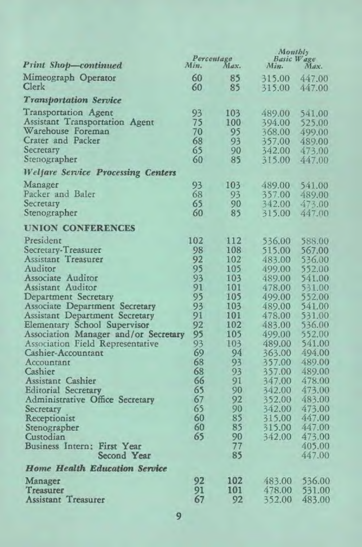|                                                                                                                                            | Percentage                 |                                 | Monthly<br>Basic Wage                |                                      |
|--------------------------------------------------------------------------------------------------------------------------------------------|----------------------------|---------------------------------|--------------------------------------|--------------------------------------|
| <b>Print Shop-continued</b>                                                                                                                | Min.                       | Max.                            | Min.                                 | Max.                                 |
| Mimeograph Operator<br>Clerk                                                                                                               | 60<br>60                   | 85<br>85                        | 315.00<br>315.00                     | 447.00<br>447.00                     |
| <b>Transportation Service</b>                                                                                                              |                            |                                 |                                      |                                      |
| Transportation Agent<br>Assistant Transportation Agent<br>Warehouse Foreman                                                                | 93<br>75<br>70             | 103<br>100<br>95                | 489.00<br>394.00<br>368.00           | 541.00<br>525.00<br>499.00           |
| Crater and Packer<br>Secretary                                                                                                             | 68<br>65                   | 93<br>90                        | 357.00<br>342.00                     | 489.00<br>473.00                     |
| Stenographer                                                                                                                               | 60                         | 85                              | 315.00                               | 447.00                               |
| <b>Welfare Service Processing Centers</b>                                                                                                  |                            |                                 |                                      |                                      |
| Manager<br>Packer and Baler<br>Secretary<br>Stenographer                                                                                   | 93<br>68<br>65<br>60       | 103<br>93<br>90<br>85           | 489.00<br>357.00<br>342.00<br>315.00 | 541.00<br>489.00<br>473.00<br>447.00 |
|                                                                                                                                            |                            |                                 |                                      |                                      |
| <b>UNION CONFERENCES</b><br>President                                                                                                      | 102                        | 112                             | 536.00                               | 588.00                               |
| Secretary-Treasurer<br>Assistant Treasurer<br>Auditor<br>Associate Auditor<br>Assistant Auditor                                            | 98<br>92<br>95<br>93<br>91 | 108<br>102<br>105<br>103<br>101 | 515.00<br>483.00<br>499.00<br>489.00 | 567.00<br>536.00<br>552.00<br>541.00 |
| Department Secretary<br>Associate Department Secretary                                                                                     | 95<br>93                   | 105<br>103                      | 478.00<br>499.00<br>489.00           | 531.00<br>552.00<br>541.00           |
| Assistant Department Secretary<br>Elementary School Supervisor<br>Association Manager and/or Secretary<br>Association Field Representative | 91<br>92<br>95<br>93       | 101<br>102<br>105<br>103        | 478.00<br>483.00<br>499.00<br>489.00 | 531.00<br>536.00<br>552.00<br>541.00 |
| Cashier-Accountant<br>Accountant<br>Cashier                                                                                                | 69<br>68<br>68             | 94<br>93<br>93                  | 363.00<br>357.00<br>357.00           | 494.00<br>489.00<br>489.00           |
| Assistant Cashier<br><b>Editorial Secretary</b><br>Administrative Office Secretary<br>Secretary                                            | 66<br>65<br>67<br>65       | 91<br>90<br>92<br>90            | 347.00<br>342.00<br>352.00<br>342.00 | 478.00<br>473.00<br>483.00<br>473.00 |
| Receptionist<br>Stenographer<br>Custodian<br>Business Intern: First Year                                                                   | 60<br>60<br>65             | 85<br>85<br>90<br>77            | 315.00<br>315.00<br>342.00           | 447.00<br>447.00<br>473.00<br>405.00 |
| Second Year                                                                                                                                |                            | 85                              |                                      | 447.00                               |
| <b>Home Health Education Service</b>                                                                                                       |                            |                                 |                                      |                                      |
| Manager<br>Treasurer<br><b>Assistant Treasurer</b>                                                                                         | 92<br>91<br>67             | 102<br>101<br>92                | 483.00<br>478.00<br>352.00           | 536.00<br>531.00<br>483.00           |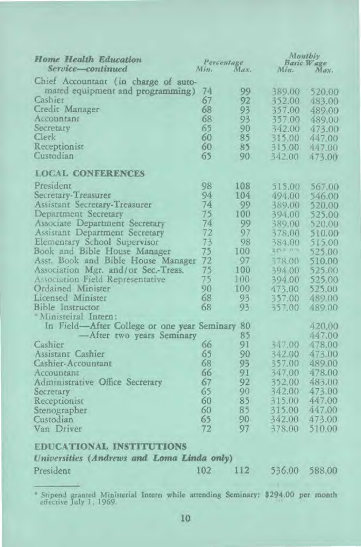| Home Health Education<br>Service-continued<br>M/n. |     | Percentage<br>Max. | Misz.  | Monthly<br>Basic Wage<br>Max. |
|----------------------------------------------------|-----|--------------------|--------|-------------------------------|
| Chief Accountant (in charge of auto-               |     |                    |        |                               |
| mated equipment and programming)                   | 74  | 99                 | 389.00 | 520.00                        |
| Cashier                                            | 67  | 92                 | 352.00 | 483.00                        |
| Credit Manager                                     | 68  | 93                 | 357.00 | 489.00                        |
| Accountant                                         | 68  | 93                 | 357.00 | 489.00                        |
| Secretary                                          | 65  | 90                 | 342.00 | 473.00                        |
| Clerk                                              | 60  | 85                 | 315.00 | 447.00                        |
| Receptionist                                       | 60  | 85                 | 315.00 | 447.00                        |
| Custodian                                          | 65  | 90                 | 342.00 | 473.00                        |
| <b>LOCAL CONFERENCES</b>                           |     |                    |        |                               |
| President                                          | 98  | 108                | 515.00 | 567.00                        |
| Secretary-Treasurer                                | 94  | 104                | 494.00 | 546.00                        |
| <b>Assistant Secretary-Treasurer</b>               | 74  | 99                 | 389.00 | 520.00                        |
| Department Secretary                               | 75  | 100                | 394.00 | 525.00                        |
| Associate Department Secretary                     | 74  | 99                 | 389.00 | 520.00                        |
| Assistant Department Secretary                     | 72  | 97                 | 378.00 | 510.00                        |
| Elementary School Supervisor                       | 73  | 98                 | 384.00 | 515.00                        |
| Book and Bible House Manager                       | 75  | 100                | 2020%  | 525.00                        |
| Asst. Book and Bible House Manager                 | 72  | 97                 | 378.00 | 510.00                        |
| Association Mgr. and/or Sec.-Treas.                | 75  | 100                | 394.00 | 525.00                        |
| Association Field Representative                   | 75  | 100                | 394.00 | 525.00                        |
| Ordained Minister                                  | 90  | 100                | 473.00 | 525.00                        |
| Licensed Minister                                  | 68  | 93                 | 357.00 | 489.00                        |
| Bible Instructor                                   | 68  | 93                 | 357.00 | 489.00                        |
| * Ministeiral Intern:                              |     |                    |        |                               |
| In Field-After College or one year Seminary 80     |     |                    |        | 420.00                        |
| After two years Seminary                           |     | 85                 |        | 447.00                        |
| Cashier                                            | 66  | 91                 | 347.00 | 478.00                        |
| Assistant Cashier                                  | 65  | 90                 | 342.00 | 473.00                        |
| Cashier-Accountant                                 | 68  | 93                 | 357.00 | 489.00                        |
| Accountant                                         | 66  | 91                 | 347.00 | 478.00                        |
| Administrative Office Secretary                    | 67  | 92                 | 352.00 | 483.00                        |
| Secretary                                          | 65  | 90                 | 342.00 | 473.00                        |
| Receptionist                                       | 60  | 85                 | 315.00 | 447.00                        |
| Stenographer                                       | 60  | 85                 | 315.00 | 447.00                        |
| Custodian                                          | 65  | 90                 | 342.00 | 473.00                        |
| Van Driver                                         | 72  | 97                 | 378.00 | 510.00                        |
| <b>EDUCATIONAL INSTITUTIONS</b>                    |     |                    |        |                               |
| Universities (Andrews and Loma Linda only)         |     |                    |        |                               |
| President                                          | 102 | 112                | 536.00 | 588.00                        |
|                                                    |     |                    |        |                               |

<sup>&</sup>quot; Stipend granted Ministerial Intern while attending Seminary: \$294.00 per month effective July 1. 1969.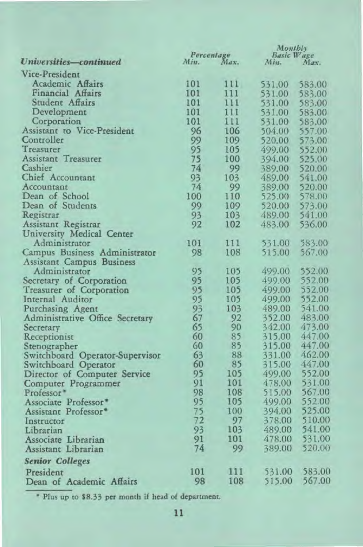|                                  |          |                    | Monthly<br>Basic Wage |                  |
|----------------------------------|----------|--------------------|-----------------------|------------------|
| Universities-continued           | Min.     | Percentage<br>Max. | Min.                  | Max.             |
| Vice-President                   |          |                    |                       |                  |
| Academic Affairs                 | 101      | 111                | 531.00                | 583.00           |
| Financial Affairs                | 101      | 111                | 531.00                | 583.00           |
| Student Affairs                  | 101      | 111                | 531.00                | 583.00           |
| Development                      | 101      | 111                | 531.00                | 583.00           |
| Corporation                      | 101      | 111                | 531.00                | 583.00           |
| Assistant to Vice-President      | 96       | 106                | 504.00                | 557.00           |
| Controller                       | 99       | 109                | 520.00                | 573.00           |
| Treasurer                        | 95       | 105                | 499.00                | 552.00           |
| Assistant Treasurer              | 75       | 100                | 394.00                | 525.00           |
| Cashier                          | 74       | 99                 | 389.00                | 520.00           |
| Chief Accountant                 | 93       | 103                | 489.00                | 541.00           |
| Accountant                       | 74       | 99                 | 389.00                | 520.00           |
| Dean of School                   | 100      | 110                | 525.00                | 578.00           |
| Dean of Students                 | 99       | 109                | 520.00                | 573.00           |
| Registrar                        | 93       | 103                | 489.00                | 541.00           |
| Assistant Registrar              | 92       | 102                | 483.00                | 536.00           |
| University Medical Center        |          |                    |                       |                  |
| Administrator                    | 101      | 111                | 531.00                | 583.00           |
| Campus Business Administrator    | 98       | 108                | 515.00                | 567.00           |
| Assistant Campus Business        |          |                    |                       |                  |
| Administrator                    | 95       | 105                | 499.00                | 552.00           |
| Secretary of Corporation         | 95       | 105                | 499.00                | 552.00           |
| Treasurer of Corporation         | 95       | 105                | 499.00                | 552.00           |
| Internal Auditor                 | 95       | 105                | 499.00                | 552.00           |
| Purchasing Agent                 | 93       | 103                | 489.00                | 541.00           |
| Administrative Office Secretary  | 67       | 92                 | 352.00                | 483.00           |
| Secretary                        | 65       | 90                 | 342.00                | 473.00           |
| Receptionist                     | 60       | 85                 | 315.00                | 447.00           |
| Stenographer                     | 60       | 85                 | 315.00                | 447.00           |
| Switchboard Operator-Supervisor  | 63       | 88                 | 331.00                | 462.00           |
| Switchboard Operator             | 60       | 85                 | 315.00                | 447.00           |
| Director of Computer Service     | 95       | 105                | 499.00                | 552.00           |
| Computer Programmer              | 91       | 101                | 478.00                | 531.00           |
| Professor <sup>*</sup>           | 98       | 108                | 515.00                | 567.00           |
| Associate Professor <sup>®</sup> | 95       | 105                | 499.00                | 552.00           |
| Assistant Professor®             | 75       | 100<br>97          | 394.00                | 525.00           |
| Instructor                       | 72<br>93 | 103                | 378.00<br>489.00      | 510.00<br>541.00 |
| Librarian<br>Associate Librarian | 91       | 101                | 478.00                | 531.00           |
|                                  | 74       | 99                 | 389.00                | 520.00           |
| Assistant Librarian              |          |                    |                       |                  |
| <b>Senior Colleges</b>           |          |                    |                       |                  |
| President                        | 101      | 111                | 531.00                | 583.00           |
| Dean of Academic Affairs         | 98       | 108                | 515.00                | 567.00           |

• Plus up to \$8.33 per month if head of department.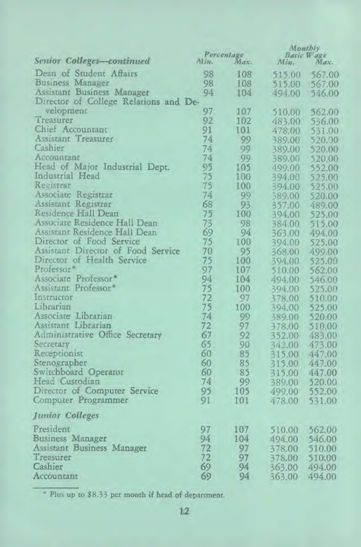|                                       | Percentage |      | Monthly |                           |
|---------------------------------------|------------|------|---------|---------------------------|
| Senior Colleges-continued             | Min.       | Max. | Min.    | <b>Basic Wage</b><br>Max. |
| Dean of Student Affairs               | 98         | 108  | 515.00  | 567.00                    |
| Business Manager                      | 98         | 108  |         | 515.00 567.00             |
| Assistant Business Manager            | 94         | 104  | 494.00  | 546.00                    |
| Director of College Relations and De- |            |      |         |                           |
| velopment                             | 97         | 107  | 510.00  | 562.00                    |
| Treasurer                             | 92         | 102  | 483.00  | 536.00                    |
| Chief Accountant                      | 91         | 101  | 478.00  | 531.00                    |
| Assistant Treasurer                   | 74         | 99   | 389.00  | 520.00                    |
| Cashier                               | 74         | 99   | 389.00  | 520.00                    |
| Accountant                            | 74         | 99   | 389.00  | 520.00                    |
| Head of Major Industrial Dept.        | 95         | 105  | 499.00  | 552.00                    |
| Industrial Head                       | 75         | 100  | 394.00  | 525.00                    |
| Registrar                             | 75         | 100  | 394.00  | 525.00                    |
| Associate Registrar                   | 74         | 99   | 389.00  | 520.00                    |
| Assistant Registrar                   | 68         | 93   | 357.00  | 489.00                    |
| Residence Hall Dean                   | 75         | 100  | 394.00  | 525.00                    |
| Associate Residence Hall Dean         | 73         | 98   | 384.00  | 515.00                    |
| Assistant Residence Hall Dean         | 69         | 94   | 363.00  | 494.00                    |
| Director of Food Service              | 75         | 100  | 394.00  | 525.00                    |
| Assistant Director of Food Service    | 70         | 95   | 368.00  | 499.00                    |
| Director of Health Service            | 75         | 100  | 394.00  | 525.00                    |
| Professor <sup>*</sup>                | 97         | 107  | 510.00  | 562.00                    |
| Associate Professor <sup>®</sup>      | 94         | 104  | 494.00  | 546.00                    |
| Assistant Professor                   | 75         | 100  | 394.00  | 525.00                    |
| Instructor                            | 72         | 97   | 378.00  | 510.00                    |
| Librarian                             | 75         | 100  | 394.00  | 525.00                    |
| Associate Librarian                   | 74         | 99   | 389.00  | 520.00                    |
| Assistant Librarian                   | 72         | 97   | 378.00  | 510.00                    |
| Administrative Office Secretary       | 67         | 92   | 352.00  | 483.00                    |
| Secretary                             | 65         | 90   | 342.00  | 473.00                    |
| Receptionist                          | 60         | 85   | 315.00  | 447.00                    |
| Stenographer                          | 60         | 85   | 315.00  | 447.00                    |
| Switchboard Operator                  | 60         | 85   | 315.00  | 447.00                    |
| Head Custodian                        | 74         | 99   | 389.00  | 520.00                    |
| Director of Computer Service          | 95         | 105  | 499.00  | 552.00                    |
| Computer Programmer                   | 91         | 101  | 478.00  | 531.00                    |
| <b>Junior Colleges</b>                |            |      |         |                           |
| President                             | 97         | 107  | 510,00  | 562.00                    |
| <b>Business Manager</b>               | 94         | 104  | 494.00  | 546.00                    |
| Assistant Business Manager            | 72         | 97   | 378.00  | 510.00                    |
| Treasurer                             | 72         | 97   | 378.00  | 510.00                    |
| Cashier                               | 69         | 94   | 363.00  | 494.00                    |
| Accountant                            | 69         | 94   | 363.00  | 494.00                    |

" Plus up to \$8.33 per month if head of department.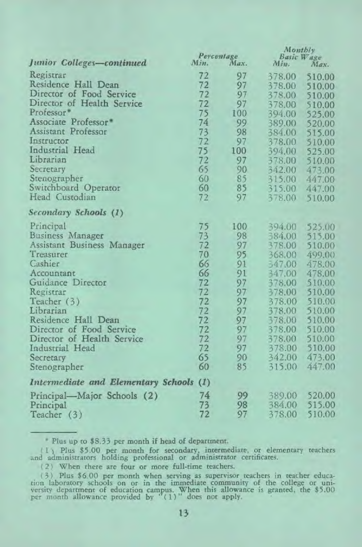|                                         | Percentage |      | Montbly<br>Basic Wage |        |
|-----------------------------------------|------------|------|-----------------------|--------|
| Junior Colleges-continued               | Min.       | Max. | Min.                  | Max.   |
| Registrar                               | 72         | 97   | 378.00                | 510.00 |
| Residence Hall Dean                     | 72         | 97   | 378.00                | 510.00 |
| Director of Food Service                | 72         | 97   | 378.00                | 510.00 |
| Director of Health Service              | 72         | 97   | 378.00                | 510.00 |
| Professor <sup>®</sup>                  | 75         | 100  | 394.00                | 525.00 |
| Associate Professor <sup>*</sup>        | 74         | 99   | 389.00                | 520.00 |
| Assistant Professor                     | 73         | 98   | 384.00                | 515.00 |
| Instructor                              | 72         | 97   | 378.00                | 510.00 |
| Industrial Head                         | 75         | 100  | 394.00                | 525.00 |
| Librarian                               | 72         | 97   | 378.00                | 510.00 |
| Secretary                               | 65         | 90   | 342.00                | 473.00 |
| Stenographer                            | 60         | 85   | 315.00                | 447.00 |
| Switchboard Operator                    | 60         | 85   | 315.00                | 447.00 |
| Head Custodian                          | 72         | 97   | 378.00                | 510.00 |
| Secondary Schools (1)                   |            |      |                       |        |
| Principal                               | 75         | 100  | 394.00                | 525.00 |
| Business Manager                        | 73         | 98   | 384.00                | 515.00 |
| Assistant Business Manager              | 72         | 97   | 378.00                | 510.00 |
| Treasurer                               | 70         | 95   | 368.00                | 499.00 |
| Cashier                                 | 66         | 91   | 547.00                | 478.00 |
| Accountant                              | 66         | 91   | 347.00                | 478.00 |
| Guidance Director                       | 72         | 97   | 378.00                | 510.00 |
| Registrar                               | 72         | 97   | 378.00                | 510.00 |
| Teacher (3)                             | 72         | 97   | 378.00                | 510.00 |
| Librarian                               | 72         | 97   | 378.00                | 510.00 |
| Residence Hall Dean                     | 72         | 97   | 378.00                | 510.00 |
| Director of Food Service                | 72         | 97   | 378.00                | 510.00 |
| Director of Health Service              | 72         | 97   | 378.00                | 510.00 |
| Industrial Head                         | 72         | 97   | 378.00                | 510.00 |
| Secretary                               | 65         | 90   | 342.00                | 473.00 |
| Stenographer                            | 60         | 85   | 315.00                | 447.00 |
| Intermediate and Elementary Schools (1) |            |      |                       |        |
| Principal—Major Schools (2)             | 74         | 99   | 389.00                | 520.00 |
| Principal                               | 73         | 98   | 384.00                | 515.00 |
| Teacher (3)                             | 72         | 97   | 378.00                | 510.00 |

Plus up to \$8.33 per month if head of department.

( Plus \$5.00 per month for secondary, intermediate, or elementary teachers and administrators holding professional or administrator certificates.

(2) When there are four or more full-time teachers.

(3) Plus \$6,00 per month when serving as supervisor teachers in teacher education laboratory schools on or in the immediate community of the college or university department of education campus. When this allowance is gra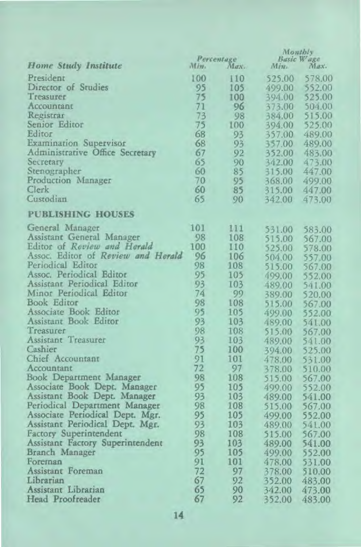|                                    |         |                    | Monthly          |                    |
|------------------------------------|---------|--------------------|------------------|--------------------|
| Home Study Institute               | $M/m$ . | Percentage<br>Max. | Min.             | Basic Wage<br>Max. |
|                                    |         |                    |                  |                    |
| President                          | 100     | 110                | 525.00           | 578.00             |
| Director of Studies                | 95      | 105                | 499.00           | 552.00             |
| Treasurer                          | 75      | 100                | 394.00           | 525.00             |
| Accountant                         | 71      | 96                 | 373.00           | 504.00             |
| Registrar                          | 73      | 98                 | 384.00           | 515.00             |
| Senior Editor                      | 75      | 100                | 394.00           | 525.00             |
| Editor                             | 68      | 93                 | 357.00           | 489.00             |
| <b>Examination Supervisor</b>      | 68      | 93                 | 357.00           | 489.00             |
| Administrative Office Secretary    | 67      | 92                 | 352.00           | 483.00             |
| Secretary                          | 65      | 90                 | 342.00           | 473.00             |
| Stenographer                       | 60      | 85                 | 315.00           | 447.00             |
| Production Manager                 | 70      | 95                 | 368.00           | 499.00             |
| Clerk                              | 60      | 85                 | 315.00           | 447.00             |
| Custodian                          | 65      | 90                 | 342.00           | 473.00             |
| <b>PUBLISHING HOUSES</b>           |         |                    |                  |                    |
| General Manager                    | 101     | 111                | 531.00           | 583.00             |
| Assistant General Manager          | 98      | 108                | 515.00           | 567.00             |
| Editor of Review and Herald        | 100     | 110                | 525.00           | 578.00             |
| Assoc. Editor of Review and Herald | 96      | 106                | 504.00           |                    |
| Periodical Editor                  | 98      | 108                | 515.00           | 557.00<br>567.00   |
| Assoc. Periodical Editor           | 95      | 105                | 499.00           | 552.00             |
| Assistant Periodical Editor        | 93      | 103                | 489.00           |                    |
| Minor Periodical Editor            | 74      | 99                 |                  | 541.00             |
| Book Editor                        | 98      | 108                | 389.00<br>515.00 | 520.00             |
| Associate Book Editor              | 95      | 105                |                  | 567.00             |
| Assistant Book Editor              | 93      | 103                | 499.00           | 552.00             |
| Treasurer                          | 98      | 108                | 489.00           | 541.00             |
| Assistant Treasurer                | 93      | 103                | 515.00           | 567.00             |
| Cashier                            | 75      | 100                | 489.00           | 541.00             |
| Chief Accountant                   | 91      | 101                | 394.00           | 525.00             |
|                                    |         |                    | 478.00           | 531.00             |
| Accountant                         | 72      | 97                 | 378.00           | 510.00             |
| Book Department Manager            | 98      | 108                | 515.00           | 567.00             |
| Associate Book Dept. Manager       | 95      | 105                | 499.00           | 552.00             |
| Assistant Book Dept. Manager       | 93      | 103                | 489.00           | 541.00             |
| Periodical Department Manager      | 98      | 108                | 515.00           | 567.00             |
| Associate Periodical Dept. Mgr.    | 95      | 105                | 499.00           | 552.00             |
| Assistant Periodical Dept. Mgr.    | 93      | 103                | 489.00           | 541.00             |
| <b>Factory Superintendent</b>      | 98      | 108                | 515.00           | 567.00             |
| Assistant Factory Superintendent   | 93      | 103                | 489.00           | 541.00             |
| Branch Manager                     | 95      | 105                | 499.00           | 552.00             |
| Foreman                            | 91      | 101                | 478.00           | 531.00             |
| Assistant Foreman                  | 72      | 97                 | 378.00           | 510.00             |
| Librarian                          | 67      | 92                 | 352.00           | 483.00             |
| Assistant Libratian                | 65      | 90                 | 342.00           | 473.00             |
| Head Proofreader                   | 67      | 92                 | 352.00           | 483.00             |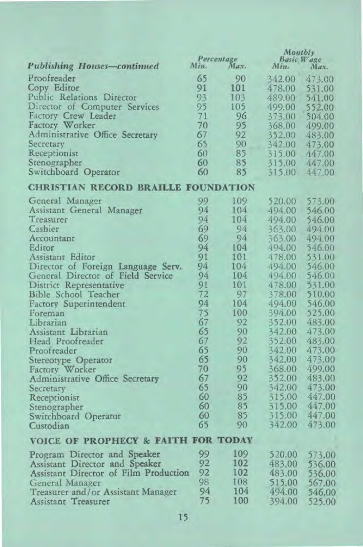|                                            | Percentage |      | Montbly            |        |
|--------------------------------------------|------------|------|--------------------|--------|
| <b>Publishing Houses-continued</b>         | Min.       | Max. | Basic Wage<br>Min. | Max.   |
|                                            |            |      |                    |        |
| Proofreader                                | 65         | 90   | 342.00             | 473.00 |
| Copy Editor                                | 91         | 101  | 478.00             | 531.00 |
| Public Relations Director                  | 93         | 103  | 489.00             | 541.00 |
| Director of Computer Services              | 95         | 105  | 499.00             | 552.00 |
| Factory Crew Leader                        | 71         | 96   | 373.00             | 504.00 |
| Factory Worker                             | 70         | 95   | 368.00             | 499.00 |
| Administrative Office Secretary            | 67         | 92   | 352.00             | 483.00 |
| Secretary                                  | 65         | 90   | 342.00             | 473.00 |
| Receptionist                               | 60         | 85   | 315.00             | 447.00 |
| Stenographer                               | 60         | 85   | 315.00             | 447.00 |
| Switchboard Operator                       | 60         | 85   | 315.00             | 447.00 |
| <b>CHRISTIAN RECORD BRAILLE FOUNDATION</b> |            |      |                    |        |
| General Manager                            | 99         | 109  | 520.00             | 573.00 |
| Assistant General Manager                  | 94         | 104  | 494.00             | 546.00 |
| Treasurer                                  | 94         | 104  | 494.00             | 546.00 |
| Cashier                                    | 69         | 94   | 363.00             | 494.00 |
| Accountant                                 | 69         | 94   | 363.00             | 494.00 |
| Editor                                     | 94         | 104  | 494.00             | 546.00 |
| Assistant Editor                           | 91         | 101  | 478.00             | 531.00 |
| Director of Foreign Language Serv.         | 94         | 104  | 494.00             | 546.00 |
| General Director of Field Service          | 94         | 104  | 494.00             | 546.00 |
| District Representative                    | 91         | 101  | 478.00             | 531.00 |
| Bible School Teacher                       | 72         | 97   | 378.00             | 510.00 |
| <b>Factory Superintendent</b>              | 94         | 104  | 494.00             | 546.00 |
| Foreman                                    | 75         | 100  | 394.00             | 525.00 |
| Librarian                                  | 67         | 92   | 352.00             | 483.00 |
| Assistant Librarian                        | 65         | 90   | 342.00             | 473.00 |
| Head Proofreader                           | 67         | 92   | 352.00             | 483.00 |
| Proofreader                                | 65         | 90   | 342.00             | 473.00 |
|                                            | 65         | 90   | 342.00             | 473.00 |
| Stereotype Operator<br>Factory Worker      | 70         | 95   | 368.00             | 499.00 |
| Administrative Office Secretary            | 67         | 92   | 352.00             | 483.00 |
|                                            | 65         | 90   | 342.00             | 473.00 |
| Secretary                                  | 60         | 85   | 315.00             | 447.00 |
| Receptionist                               | 60         | 85   | 315.00             | 447.00 |
| Stenographer                               | 60         | 85   | 315.00             | 447.00 |
| Switchboard Operator                       | 65         | 90   | 342.00             | 473.00 |
| Custodian                                  |            |      |                    |        |
| VOICE OF PROPHECY & FAITH FOR TODAY        |            |      |                    |        |
| Program Director and Speaker               | 99         | 109  | 520.00             | 573.00 |
| Assistant Director and Speaker             | 92         | 102  | 483.00             | 536.00 |
| Assistant Director of Film Production      | 92         | 102  | 483.00             | 536.00 |
| General Manager                            | 98         | 108  | 515.00             | 567.00 |
| Treasurer and/or Assistant Manager         | 94         | 104  | 494.00             | 546.00 |
| Assistant Treasurer                        | 75         | 100  | 394.00             | 525.00 |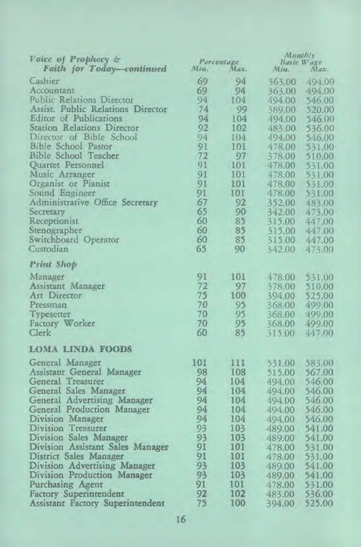| Voice of Prophecy &<br>Faith for Today-continued | Percentage<br>Min.<br>Max. |     | $M$ ont $b!$<br>Basic Wage<br>Min.<br>Max. |        |  |
|--------------------------------------------------|----------------------------|-----|--------------------------------------------|--------|--|
| Cashier                                          | 69                         | 94  | 363.00                                     | 494.00 |  |
| Accountant                                       | 69                         | 94  | 363.00                                     | 494.00 |  |
| <b>Public Relations Director</b>                 | 94                         | 104 | 494.00                                     | 546.00 |  |
| Assist. Public Relations Director                | 74                         | 99  | 389.00                                     | 520.00 |  |
| Editor of Publications                           | 94                         | 104 | 494.00                                     | 546.00 |  |
| <b>Station Relations Director</b>                | 92                         | 102 | 483.00                                     | 536.00 |  |
| Director of Bible School                         | 94                         | 104 | 494.00                                     | 546.00 |  |
| <b>Bible School Pastor</b>                       | 91                         | 101 | 478.00                                     | 531.00 |  |
| <b>Bible School Teacher</b>                      | 72                         | 97  | 378.00                                     | 510.00 |  |
| Quartet Personnel                                | 91                         | 101 | 478.00                                     | 531.00 |  |
| Music Arranger                                   | 91                         | 101 | 478.00                                     | 531.00 |  |
| Organist or Pianist                              | 91                         | 101 | 478.00                                     | 531.00 |  |
| Sound Engineer                                   | 91                         | 101 | 478.00                                     | 531.00 |  |
| Administrative Office Secretary                  | 67                         | 92  | 352.00                                     | 483.00 |  |
| Secretary                                        | 65                         | 90  | 342.00                                     | 473.00 |  |
| Receptionist                                     | 60                         | 85  | 315.00                                     | 447.00 |  |
| Stenographer                                     | 60                         | 85  | 315.00                                     | 447.00 |  |
| Switchboard Operator                             | 60                         | 85  | 315.00                                     | 447.00 |  |
| Custodian                                        | 65                         | 90  | 342.00                                     | 473.00 |  |
| Print Shop                                       |                            |     |                                            |        |  |
| Manager                                          | 91                         | 101 | 478.00                                     | 531,00 |  |
| Assistant Manager                                | 72                         | 97  | 378.00                                     | 510.00 |  |
| Art Director                                     | 75                         | 100 | 394.00                                     | 525.00 |  |
| Pressman                                         | 70                         | 95  | 368.00                                     | 499.00 |  |
| Typesetter                                       | 70                         | 95  | 368.00                                     | 499.00 |  |
| Factory Worker                                   | 70                         | 95  | 368.00                                     | 499.00 |  |
| Clerk                                            | 60                         | 85  | 315.00                                     | 447.00 |  |
| <b>LOMA LINDA FOODS</b>                          |                            |     |                                            |        |  |
| General Manager                                  | 101                        | 111 | 531.00                                     | 583.00 |  |
| Assistant General Manager                        | 98                         | 108 | 515.00                                     | 567.00 |  |
| General Treasurer                                | 94                         | 104 | 494.00                                     | 546.00 |  |
| General Sales Manager                            | 94                         | 104 | 494.00                                     | 546.00 |  |
| General Advertising Manager                      | 94                         | 104 | 494.00                                     | 546.00 |  |
| General Production Manager                       | 94                         | 104 | 494.00                                     | 546.00 |  |
| Division Manager                                 | 94                         | 104 | 494.00                                     | 546.00 |  |
| Division Treasurer                               | 93                         | 103 | 489.00                                     | 541.00 |  |
| Division Sales Manager                           | 93                         | 103 | 489.00                                     | 541.00 |  |
| Division Assistant Sales Manager                 | 91                         | 101 | 478.00                                     | 531.00 |  |
| District Sales Manager                           | 91                         | 101 | 478.00                                     | 531.00 |  |
| Division Advertising Manager                     | 93                         | 103 | 489.00                                     | 541.00 |  |
| Division Production Manager                      | 93                         | 103 | 489.00                                     | 541.00 |  |
| Purchasing Agent                                 | 91                         | 101 | 478.00                                     | 531.00 |  |
| <b>Factory Superintendent</b>                    | 92                         | 102 | 483.00                                     | 536.00 |  |
| Assistant Factory Superintendent                 | 75                         | 100 | 394.00                                     | 525.00 |  |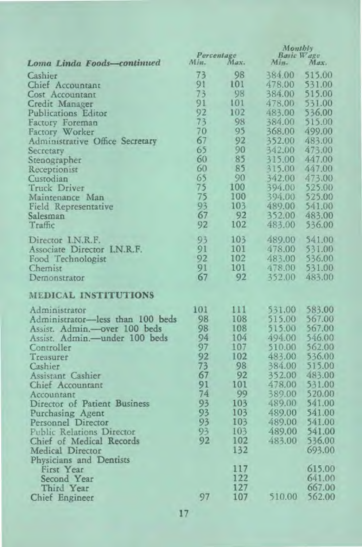|                                                                 | Percentage |      | Monthly                    |                  |
|-----------------------------------------------------------------|------------|------|----------------------------|------------------|
| Loma Linda Foods-continued                                      | Min.       | Max. | Basic Wage<br>Min.<br>Max. |                  |
| Cashier                                                         | 73         | 98   | 384.00                     | 515.00           |
|                                                                 | 91         | 101  | 478.00                     |                  |
| Chief Accountant                                                | 73         | 98   | 384.00                     | 531.00<br>515.00 |
| Cost Accountant                                                 | 91         | 101  |                            | 531.00           |
| Credit Manager                                                  | 92         | 102  | 478.00                     | 536.00           |
| Publications Editor                                             |            | 98   | 483.00                     |                  |
| Factory Foreman                                                 | 73<br>70   | 95   | 384.00                     | 515.00           |
| Factory Worker                                                  |            | 92   | 368,00                     | 499.00           |
| Administrative Office Secretary                                 | 67         | 90   | 352.00                     | 483.00           |
| Secretary                                                       | 65         | 85   | 342.00                     | 473.00           |
| Stenographer                                                    | 60         |      | 315.00                     | 447.00           |
| Receptionist                                                    | 60         | 85   | 315.00                     | 447.00           |
| Custodian                                                       | 65         | 90   | 342.00                     | 473.00           |
| Truck Driver                                                    | 75         | 100  | 394.00                     | 525.00           |
| Maintenance Man                                                 | 75         | 100  | 394.00                     | 525.00           |
| Field Representative                                            | 93         | 103  | 489.00                     | 541.00           |
| Salesman                                                        | 67         | 92   | 352.00                     | 483.00           |
| Traffic                                                         | 92         | 102  | 483.00                     | 536.00           |
| Director I.N.R.F.                                               | 93         | 103  | 489.00                     | 541.00           |
| Associate Director I.N.R.F.                                     | 91         | 101  | 478.00                     | 531.00           |
| Food Technologist                                               | 92         | 102  | 483.00                     | 536.00           |
| Chemist                                                         | 91         | 101  | 478.00                     | 531.00           |
| Demonstrator                                                    | 67         | 92   | 352.00                     | 483.00           |
| <b>MEDICAL INSTITUTIONS</b>                                     |            |      |                            |                  |
| Administrator                                                   | 101        | 111  | 531.00                     | 583.00           |
| Administrator-less than 100 beds                                | 98         | 108  | 515.00                     | 567.00           |
|                                                                 | 98         | 108  | 515.00                     | 567.00           |
| Assist. Admin.- over 100 beds<br>Assist. Admin.- under 100 beds | 94         | 104  | 494.00                     | 546.00           |
| Controller                                                      | 97         | 107  | 510.00                     | 562.00           |
| Treasurer                                                       | 92         | 102  | 483.00                     | 536.00           |
| Cashier                                                         | 73         | 98   | 384.00                     | 515.00           |
| Assistant Cashier                                               | 67         | 92   | 352.00                     | 483.00           |
| Chief Accountant                                                | 91         | 101  | 478.00                     | 531.00           |
| Accountant                                                      | 74         | 99   | 389.00                     | 520.00           |
| Director of Patient Business                                    | 93         | 103  | 489.00                     | 541.00           |
| Purchasing Agent                                                | 93         | 103  | 489.00                     | 541.00           |
| Personnel Director                                              | 93         | 103  | 489.00                     | 541.00           |
| <b>Public Relations Director</b>                                | 93         | 103  | 489,00                     | 541.00           |
| Chief of Medical Records                                        | 92         | 102  | 483.00                     | 536.00           |
| Medical Director                                                |            | 132  |                            | 693.00           |
| Physicians and Dentists                                         |            |      |                            |                  |
| First Year                                                      |            | 117  |                            | 615.00           |
| Second Year                                                     |            | 122  |                            | 641.00           |
| Third Year                                                      |            | 127  |                            | 667.00           |
| Chief Engineer                                                  | 97         | 107  | 510.00                     | 562.00           |
|                                                                 |            |      |                            |                  |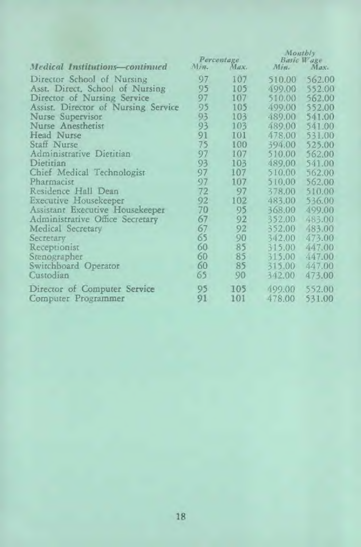|                                       | Percentage |      | Montbly<br>Basic Wage |        |  |
|---------------------------------------|------------|------|-----------------------|--------|--|
| <b>Medical Institutions-continued</b> | Min.       | Max. | Min.                  | Max.   |  |
| Director School of Nursing            | 97         | 107  | 510.00                | 562.00 |  |
| Asst. Direct, School of Nursing       | 95         | 105  | 499.00                | 552.00 |  |
| Director of Nursing Service           | 97         | 107  | 510.00                | 562,00 |  |
| Assist. Director of Nursing Service   | 95         | 105  | 499.00                | 552.00 |  |
| Nurse Supervisor                      | 93         | 103  | 489.00                | 541.00 |  |
| Nurse Anesthetist                     | 93         | 103  | 489.00                | 541.00 |  |
| Head Nurse                            | 91         | 101  | 478.00                | 531.00 |  |
| Staff Nurse                           | 75         | 100  | 394.00                | 525.00 |  |
| Administrative Dietitian              | 97         | 107  | 510.00                | 562.00 |  |
| Dietitian                             | 93         | 103  | 489.00                | 541.00 |  |
| Chief Medical Technologist            | 97         | 107  | 510.00                | 562.00 |  |
| Pharmacist                            | 97         | 107  | 510.00                | 562.00 |  |
| Residence Hall Dean                   | 72         | 97   | 378.00                | 510.00 |  |
| Executive Housekeeper                 | 92         | 102  | 483.00                | 536.00 |  |
| Assistant Executive Housekeeper       | 70         | 95   | 368.00                | 499.00 |  |
| Administrative Office Secretary       | 67         | 92   | 352.00                | 483.00 |  |
| Medical Secretary                     | 67         | 92   | 352.00                | 483.00 |  |
| Secretary                             | 65         | 90   | 342.00                | 473.00 |  |
| Receptionist                          | 60         | 85   | 315.00                | 447.00 |  |
| Stenographer                          | 60         | 85   | 315.00                | 447.00 |  |
| Switchboard Operator                  | 60         | 85   | 315.00                | 447.00 |  |
| Custodian                             | 65         | 90   | 342.00                | 473.00 |  |
| Director of Computer Service          | 95         | 105  | 499.00                | 552.00 |  |
| Computer Programmer                   | 91         | 101  | 478.00                | 531.00 |  |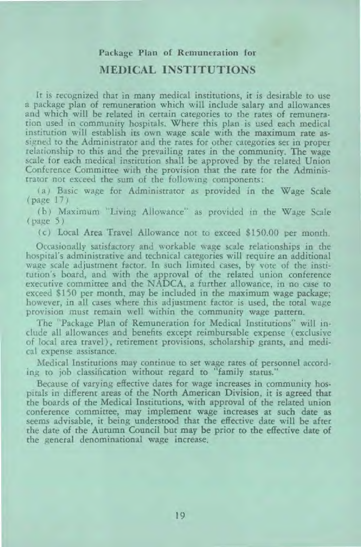# Package Plan of Remuneration for **MEDICAL INSTITUTIONS**

It is recognized that in many medical institutions, it is desirable to use a package plan of remuneration which will include salary and allowances and which will be related in certain categories to the rates of remuneration used in community hospitals. Where this plan is used each medical institution will establish its own wage scale with the maximum rate assigned to the Administrator and the rates for other categories set in proper relationship to this and the prevailing rates in the community. The wage scale for each medical institution shall be approved by the related Union Conference Committee with the provision that the rate for the Administrator not exceed the sum of the following components:

( a) Basic wage for Administrator as provided in the Wage Scale (page 17)

(b) Maximum "Living Allowance" as provided in the Wage Scale (page 5)

(c) Local Area Travel Allowance not to exceed \$150.00 per month.

Occasionally satisfactory and workable wage scale relationships in the hospital's administrative and technical categories will require an additional wage scale adjustment factor. In such limited cases, by vote of the institution's board, and with the approval of the related union conference executive committee and the NADCA, a further allowance, in no case to exceed \$150 per month, may be included in the maximum wage package; however, in all cases where this adjustment factor is used, the total wage provision must remain well within the community wage pattern.

The "Package Plan of Remuneration for Medical Institutions" will include all allowances and benefits except reimbursable expense (exclusive of local area travel), retirement provisions, scholarship grants, and medical expense assistance.

Medical Institutions may continue to set wage rates of personnel according to job classification without regard to "family status."

Because of varying effective dates for wage increases in community hospitals in different areas of the North American Division, it is agreed that the boards of the Medical Institutions, with approval of the related union conference committee, may implement wage increases at such date as seems advisable, it being understood that the effective date will be after the date of the Autumn Council but may be prior to the effective date of the general denominational wage increase.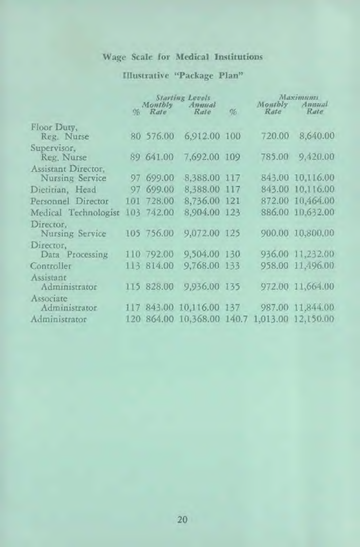## Wage Scale for Medical Institutions

# Illustrative "Package Plan"

|                      | <b>Starting Levels</b> |            |                                               | Maximumi |                 |                  |
|----------------------|------------------------|------------|-----------------------------------------------|----------|-----------------|------------------|
|                      |                        | % Rate     | Monthly Annual<br>Rate                        | %        | Montbly<br>Rate | Annual<br>Rate   |
|                      |                        |            |                                               |          |                 |                  |
| Floor Duty,          |                        |            |                                               |          |                 |                  |
| Reg. Nurse           |                        | 80 576.00  | 6,912.00 100                                  |          | 720.00          | 8,640.00         |
| Supervisor.          |                        |            |                                               |          |                 |                  |
| Reg. Nurse           |                        | 89 641.00  | 7,692.00 109                                  |          | 785.00          | 9,420.00         |
| Assistant Director.  |                        |            |                                               |          |                 |                  |
| Nursing Service      |                        | 97 699.00  | 8,388.00 117                                  |          |                 | 843.00 10,116.00 |
| Dietitian, Head      |                        | 97 699.00  | 8,388.00 117                                  |          |                 | 843.00 10,116.00 |
| Personnel Director   |                        | 101 728.00 | 8,736.00 121                                  |          |                 | 872.00 10.464.00 |
| Medical Technologist |                        | 103 742.00 | 8.904.00 123                                  |          |                 | 886.00 10.632.00 |
| Director,            |                        |            |                                               |          |                 |                  |
| Nursing Service      |                        | 105 756.00 | 9,072.00 125                                  |          |                 | 900.00 10,800.00 |
| Director,            |                        |            |                                               |          |                 |                  |
| Data Processing      |                        | 110 792.00 | 9,504.00 130                                  |          |                 | 936.00 11,232.00 |
| Controller           |                        | 113 814.00 | 9,768.00 133                                  |          |                 | 958.00 11,496.00 |
| Assistant            |                        |            |                                               |          |                 |                  |
| Administrator        |                        | 115 828.00 | 9,936.00 135                                  |          |                 | 972.00 11,664.00 |
| Associate            |                        |            |                                               |          |                 |                  |
| Administrator        |                        |            | 117 843.00 10,116.00 137                      |          |                 | 987.00 11,844.00 |
| Administrator        |                        |            | 120 864.00 10.368.00 140.7 1.013.00 12.150.00 |          |                 |                  |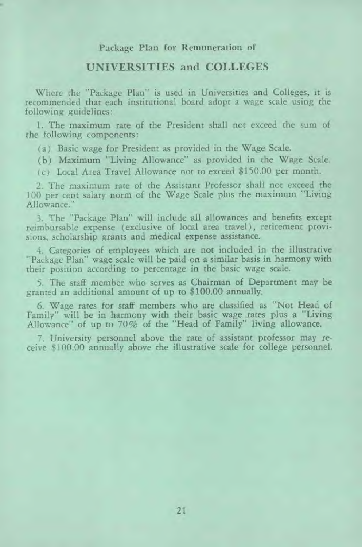#### Package Plan for Remuneration of

#### UNIVERSITIES and COLLEGES

Where the "Package Plan" is used in Universities and Colleges, it is recommended that each institutional board adopt a wage scale using the following guidelines:

1. The maximum rate of the President shall not exceed the sum of the following components:

(a) Basic wage for President as provided in the Wage Scale.

(b) Maximum "Living Allowance" as provided in the Wage Scale.

( c) Local Area Travel Allowance not to exceed \$150.00 per month.

2. The maximum rate of the Assistant Professor shall not exceed the 100 per cent salary norm of the Wage Scale plus the maximum "Living Allowance."

3. The "Package Plan" will include all allowances and benefits except reimbursable expense (exclusive of local area travel ), retirement provisions, scholarship grants and medical expense assistance.

4. Categories of employees which are not included in the illustrative "Package Plan" wage scale will be paid on a similar basis in harmony with their position according to percentage in the basic wage scale.

5. The staff member who serves as Chairman of Department may be granted an additional amount of up to \$100.00 annually.

6. Wage rates for staff members who are classified as "Not Head of Family" will be in harmony with their basic wage rates plus a "Living Allowance" of up to 70% of the "Head of Family" living allowance.

7. University personnel above the rate of assistant professor may receive \$100.00 annually above the illustrative scale for college personnel.